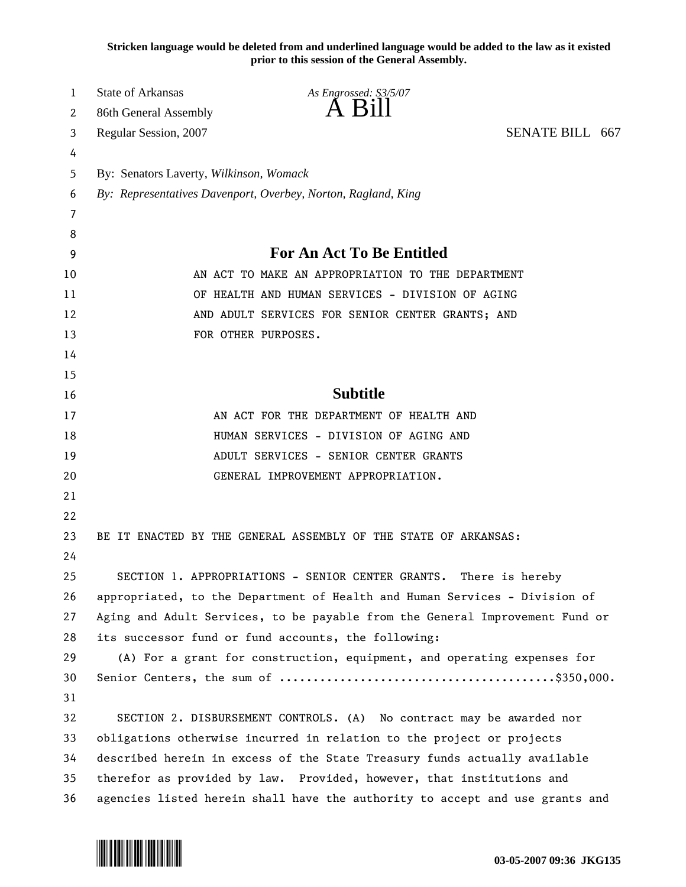**Stricken language would be deleted from and underlined language would be added to the law as it existed prior to this session of the General Assembly.**

| 1  | <b>State of Arkansas</b>                                                     | As Engrossed: S3/5/07                                                        |                 |
|----|------------------------------------------------------------------------------|------------------------------------------------------------------------------|-----------------|
| 2  | 86th General Assembly                                                        | A Bill                                                                       |                 |
| 3  | Regular Session, 2007                                                        |                                                                              | SENATE BILL 667 |
| 4  |                                                                              |                                                                              |                 |
| 5  | By: Senators Laverty, Wilkinson, Womack                                      |                                                                              |                 |
| 6  | By: Representatives Davenport, Overbey, Norton, Ragland, King                |                                                                              |                 |
| 7  |                                                                              |                                                                              |                 |
| 8  |                                                                              |                                                                              |                 |
| 9  | <b>For An Act To Be Entitled</b>                                             |                                                                              |                 |
| 10 | AN ACT TO MAKE AN APPROPRIATION TO THE DEPARTMENT                            |                                                                              |                 |
| 11 | OF HEALTH AND HUMAN SERVICES - DIVISION OF AGING                             |                                                                              |                 |
| 12 | AND ADULT SERVICES FOR SENIOR CENTER GRANTS; AND                             |                                                                              |                 |
| 13 | FOR OTHER PURPOSES.                                                          |                                                                              |                 |
| 14 |                                                                              |                                                                              |                 |
| 15 |                                                                              |                                                                              |                 |
| 16 | <b>Subtitle</b>                                                              |                                                                              |                 |
| 17 | AN ACT FOR THE DEPARTMENT OF HEALTH AND                                      |                                                                              |                 |
| 18 | HUMAN SERVICES - DIVISION OF AGING AND                                       |                                                                              |                 |
| 19 |                                                                              | ADULT SERVICES - SENIOR CENTER GRANTS                                        |                 |
| 20 |                                                                              | GENERAL IMPROVEMENT APPROPRIATION.                                           |                 |
| 21 |                                                                              |                                                                              |                 |
| 22 |                                                                              |                                                                              |                 |
| 23 |                                                                              | BE IT ENACTED BY THE GENERAL ASSEMBLY OF THE STATE OF ARKANSAS:              |                 |
| 24 |                                                                              |                                                                              |                 |
| 25 | SECTION 1. APPROPRIATIONS - SENIOR CENTER GRANTS.<br>There is hereby         |                                                                              |                 |
| 26 | appropriated, to the Department of Health and Human Services - Division of   |                                                                              |                 |
| 27 | Aging and Adult Services, to be payable from the General Improvement Fund or |                                                                              |                 |
| 28 | its successor fund or fund accounts, the following:                          |                                                                              |                 |
| 29 | (A) For a grant for construction, equipment, and operating expenses for      |                                                                              |                 |
| 30 |                                                                              |                                                                              |                 |
| 31 |                                                                              |                                                                              |                 |
| 32 | SECTION 2. DISBURSEMENT CONTROLS. (A) No contract may be awarded nor         |                                                                              |                 |
| 33 | obligations otherwise incurred in relation to the project or projects        |                                                                              |                 |
| 34 | described herein in excess of the State Treasury funds actually available    |                                                                              |                 |
| 35 | therefor as provided by law. Provided, however, that institutions and        |                                                                              |                 |
| 36 |                                                                              | agencies listed herein shall have the authority to accept and use grants and |                 |